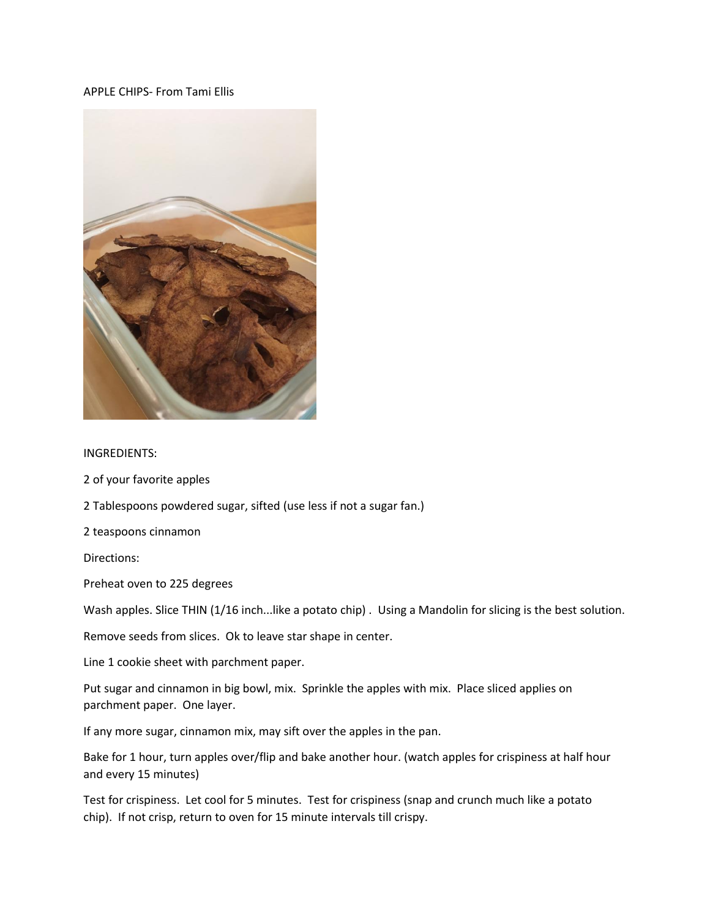## APPLE CHIPS- From Tami Ellis



## INGREDIENTS:

2 of your favorite apples

2 Tablespoons powdered sugar, sifted (use less if not a sugar fan.)

2 teaspoons cinnamon

Directions:

Preheat oven to 225 degrees

Wash apples. Slice THIN (1/16 inch...like a potato chip) . Using a Mandolin for slicing is the best solution.

Remove seeds from slices. Ok to leave star shape in center.

Line 1 cookie sheet with parchment paper.

Put sugar and cinnamon in big bowl, mix. Sprinkle the apples with mix. Place sliced applies on parchment paper. One layer.

If any more sugar, cinnamon mix, may sift over the apples in the pan.

Bake for 1 hour, turn apples over/flip and bake another hour. (watch apples for crispiness at half hour and every 15 minutes)

Test for crispiness. Let cool for 5 minutes. Test for crispiness (snap and crunch much like a potato chip). If not crisp, return to oven for 15 minute intervals till crispy.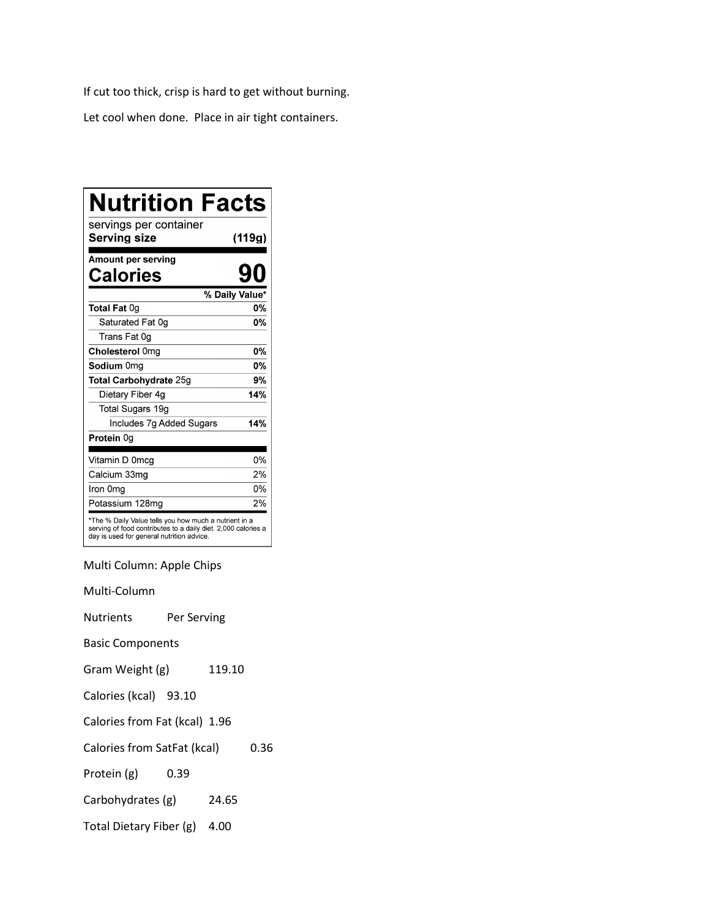If cut too thick, crisp is hard to get without burning.

Let cool when done. Place in air tight containers.

| <b>Nutrition Facts</b>                                                                                                                                              |                |
|---------------------------------------------------------------------------------------------------------------------------------------------------------------------|----------------|
| servings per container<br>Serving size                                                                                                                              | (119g)         |
| Amount per serving<br>Calories                                                                                                                                      |                |
|                                                                                                                                                                     | % Daily Value* |
| Total Fat 0g                                                                                                                                                        | 0%             |
| Saturated Fat 0g                                                                                                                                                    | <b>0%</b>      |
| Trans Fat 0g                                                                                                                                                        |                |
| Cholesterol 0mg                                                                                                                                                     | 0%             |
| Sodium 0mg                                                                                                                                                          | <b>0%</b>      |
| Total Carbohydrate 25g                                                                                                                                              | 9%             |
| Dietary Fiber 4g                                                                                                                                                    | 14%            |
| Total Sugars 19g                                                                                                                                                    |                |
| Includes 7g Added Sugars                                                                                                                                            | 14%            |
| Protein 0g                                                                                                                                                          |                |
| Vitamin D 0mcq                                                                                                                                                      | 0%             |
| Calcium 33mg                                                                                                                                                        | 2%             |
| Iron 0mg                                                                                                                                                            | 0%             |
| Potassium 128mg                                                                                                                                                     | 2%             |
| *The % Daily Value tells you how much a nutrient in a<br>serving of food contributes to a daily diet. 2,000 calories a<br>day is used for general nutrition advice. |                |

Multi Column: Apple Chips

Multi-Column

Nutrients Per Serving

Basic Components

Gram Weight (g) 119.10

Calories (kcal) 93.10

Calories from Fat (kcal) 1.96

Calories from SatFat (kcal) 0.36

Protein (g) 0.39

Carbohydrates (g) 24.65

Total Dietary Fiber (g) 4.00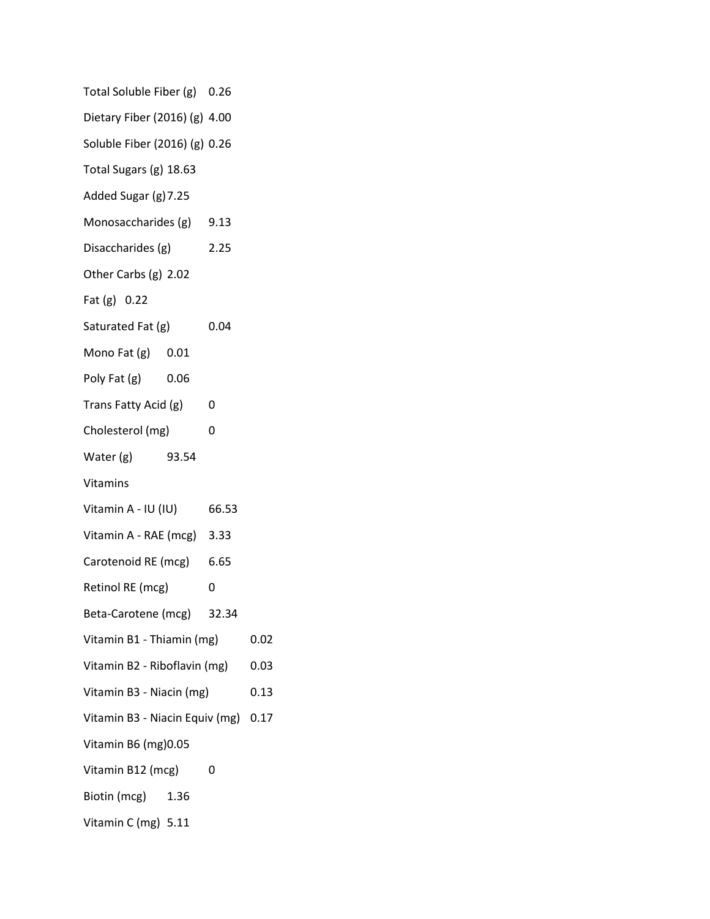| Total Soluble Fiber (g) 0.26        |  |      |  |
|-------------------------------------|--|------|--|
| Dietary Fiber (2016) (g) 4.00       |  |      |  |
| Soluble Fiber (2016) (g) 0.26       |  |      |  |
| Total Sugars (g) 18.63              |  |      |  |
| Added Sugar (g) 7.25                |  |      |  |
| Monosaccharides (g) 9.13            |  |      |  |
| Disaccharides (g)                   |  | 2.25 |  |
| Other Carbs (g) 2.02                |  |      |  |
| Fat (g) 0.22                        |  |      |  |
| Saturated Fat (g)                   |  | 0.04 |  |
| Mono Fat $(g)$ 0.01                 |  |      |  |
| Poly Fat (g) 0.06                   |  |      |  |
| Trans Fatty Acid (g)                |  | 0    |  |
| Cholesterol (mg)                    |  | 0    |  |
| Water (g) 93.54                     |  |      |  |
| Vitamins                            |  |      |  |
| Vitamin A - IU (IU) 66.53           |  |      |  |
| Vitamin A - RAE (mcg) 3.33          |  |      |  |
| Carotenoid RE (mcg) 6.65            |  |      |  |
| Retinol RE (mcg)                    |  | 0    |  |
| Beta-Carotene (mcg) 32.34           |  |      |  |
| Vitamin B1 - Thiamin (mg)           |  | 0.02 |  |
| Vitamin B2 - Riboflavin (mg)        |  | 0.03 |  |
| Vitamin B3 - Niacin (mg)            |  | 0.13 |  |
| Vitamin B3 - Niacin Equiv (mg) 0.17 |  |      |  |
| Vitamin B6 (mg) 0.05                |  |      |  |
| Vitamin B12 (mcg)                   |  | 0    |  |
| Biotin (mcg) 1.36                   |  |      |  |
| Vitamin C (mg) 5.11                 |  |      |  |